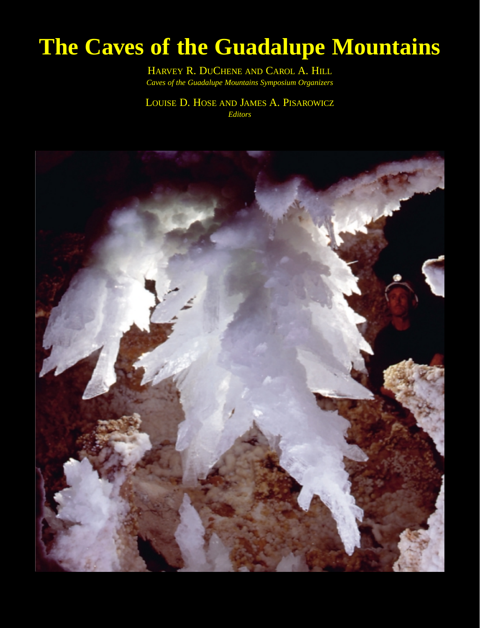## **The Caves of the Guadalupe Mountains**

HARVEY R. DUCHENE AND CAROL A. HILL *Caves of the Guadalupe Mountains Symposium Organizers*

LOUISE D. HOSE AND JAMES A. PISAROWICZ *Editors*